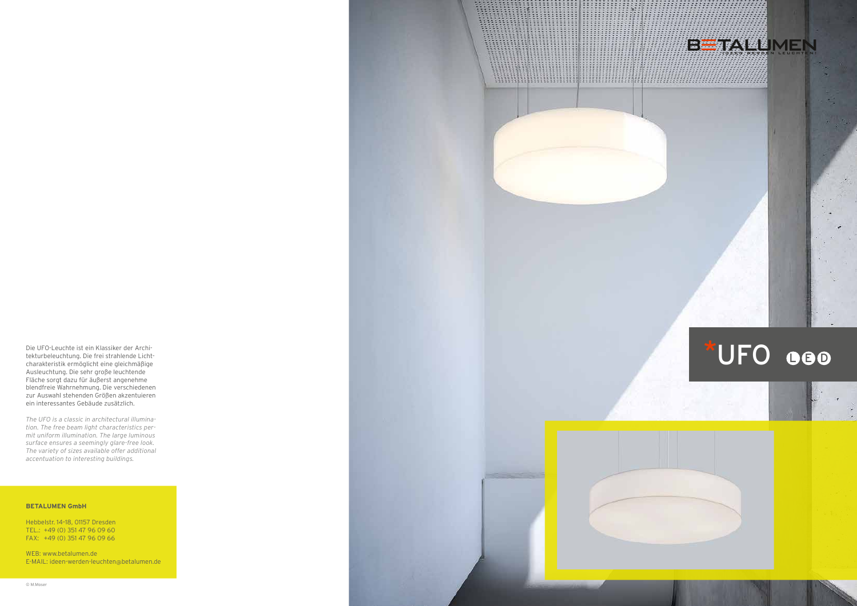

Die UFO-Leuchte ist ein Klassiker der Archi tekturbeleuchtung. Die frei strahlende Licht charakteristik ermöglicht eine gleichmäßige Ausleuchtung. Die sehr große leuchtende Fläche sorgt dazu für äußerst angenehme blendfreie Wahrnehmung. Die verschiedenen zur Auswahl stehenden Größen akzentuieren ein interessantes Gebäude zusätzlich.

*The UFO is a classic in architectural illumina tion. The free beam light characteristics per mit uniform illumination. The large luminous surface ensures a seemingly glare-free look. The variety of sizes available offer additional accentuation to interesting buildings.*

# **BETALUMEN GmbH**

Hebbelstr. 14–18, 01157 Dresden TEL.: +49 (0) 351 47 96 09 60 FAX: +49 (0) 351 47 96 09 66

WEB: www.betalumen.de E-MAIL: ideen-werden-leuchten @betalumen.de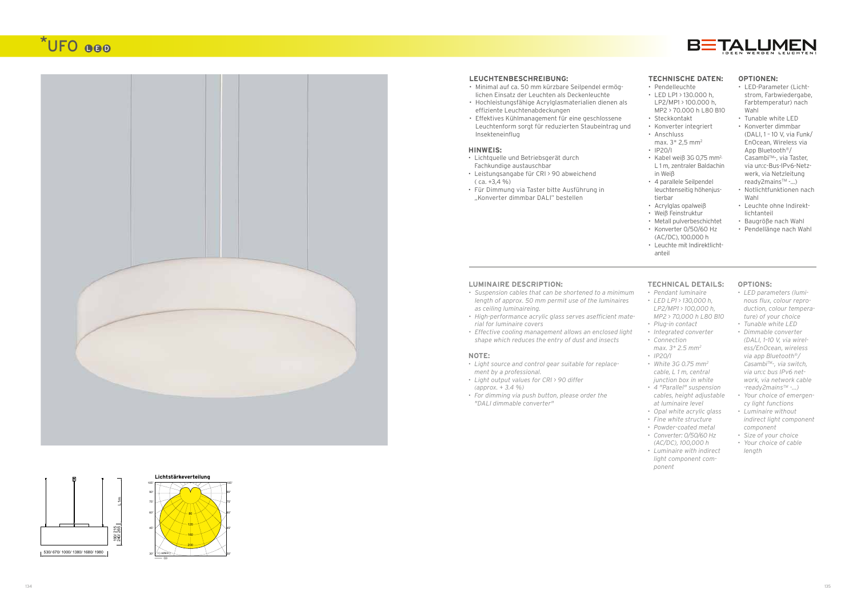

# \*UFO OOO





# **HINWEIS:**

- Lichtquelle und Betriebsgerät durch Fachkundige austauschbar
- Leistungsangabe für CRI > 90 abweichend  $(ca. +3.4\%)$
- Für Dimmung via Taster bitte Ausführung in "Konverter dimmbar DALI" bestellen

## **NOTE:**

- *• Light source and control gear suitable for replace ment by a professional.*
- *• Light output values for CRI > 90 differ (approx. + 3.4 %)*
- *• For dimming via push button, please order the "DALI dimmable converter"*



### **LEUCHTENBESCHREIBUNG:**

- Minimal auf ca. 50 mm kürzbare Seilpendel ermöglichen Einsatz der Leuchten als Deckenleuchte
- Hochleistungsfähige Acrylglasmaterialien dienen als effiziente Leuchtenabdeckungen
- Effektives Kühlmanagement für eine geschlossene Leuchtenform sorgt für reduzierten Staubeintrag und Insekteneinflug

### **LUMINAIRE DESCRIPTION:**

- *• Suspension cables that can be shortened to a minimum length of approx. 50 mm permit use of the luminaires as ceiling luminaireing.*
- *• High-performance acrylic glass serves asefficient mate rial for luminaire covers*
- *• Effective cooling management allows an enclosed light shape which reduces the entry of dust and insects*

# **TECHNISCHE DATEN:**

- Pendelleuchte
- LED LP1 > 130.000 h, LP2/MP1 > 100.000 h, MP2 > 70.000 h L80 B10
- Steckkontakt
- Konverter integriert
- Anschluss max. 3\* 2,5 mm 2
- IP20/I
- Kabel weiß 3G 0,75 mm2, L 1 m, zentraler Baldachin in Weiß
- 4 parallele Seilpendel leuchtenseitig höhenjus tierbar
- Acrylglas opalweiß
- Weiß Feinstruktur
- Metall pulverbeschichtet
- Konverter 0/50/60 Hz (AC/DC), 100.000 h
- Leuchte mit Indirektlichtanteil

# **OPTIONEN:**

- LED-Parameter (Licht strom, Farbwiedergabe, Farbtemperatur) nach Wahl
- Tunable white LED
- Konverter dimmbar (DALI, 1 – 10 V, via Funk/ EnOcean, Wireless via App Bluetooth ® / Casambi™-, via Taster, via un:c-Bus-IPv6-Netz werk, via Netzleitung ready2mains $TM - ...$ )
- Notlichtfunktionen nach Wahl
- Leuchte ohne Indirekt lichtanteil
- Baugröße nach Wahl
- Pendellänge nach Wahl

# **TECHNICAL DETAILS:**

- *• Pendant luminaire*
- *• LED LP1 > 130,000 h, LP2/MP1 > 100,000 h, MP2 > 70,000 h L80 B10*
- *• Plug-in contact*
- *• Integrated converter*
- *• Connection*
- *max. 3\* 2.5 mm 2*
- *• IP20/I*
- *• White 3G 0.75 mm2 cable, L 1 m, central junction box in white*
- *• 4 "Parallel" suspension cables, height adjustable at luminaire level*
- *• Opal white acrylic glass*
- *• Fine white structure*
- *• Powder-coated metal*
- *• Converter: 0/50/60 Hz (AC/DC), 100,000 h*
- *• Luminaire with indirect light component com ponent*

# **OPTIONS:**

- *• LED parameters (lumi nous flux, colour repro duction, colour tempera ture) of your choice*
- *• Tunable white LED*
- *• Dimmable converter (DALI, 1–10 V, via wirel ess/EnOcean, wireless via app Bluetooth ®/ CasambiTM-, via switch, via un:c bus IPv6 net work, via network cable -ready2mainsTM -...)*
- *• Your choice of emergen cy light functions*
- *• Luminaire without indirect light component component*
- *• Size of your choice*
- *• Your choice of cable length*